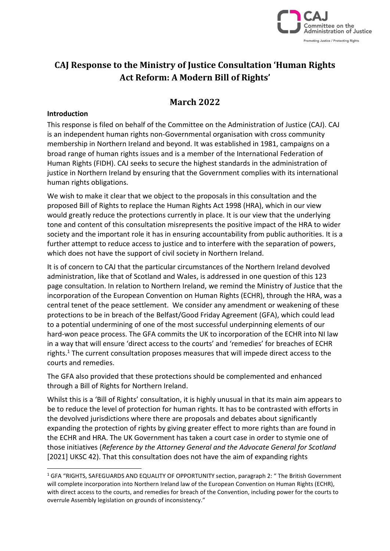

# **CAJ Response to the Ministry of Justice Consultation 'Human Rights Act Reform: A Modern Bill of Rights'**

# **March 2022**

#### **Introduction**

This response is filed on behalf of the Committee on the Administration of Justice (CAJ). CAJ is an independent human rights non-Governmental organisation with cross community membership in Northern Ireland and beyond. It was established in 1981, campaigns on a broad range of human rights issues and is a member of the International Federation of Human Rights (FIDH). CAJ seeks to secure the highest standards in the administration of justice in Northern Ireland by ensuring that the Government complies with its international human rights obligations.

We wish to make it clear that we object to the proposals in this consultation and the proposed Bill of Rights to replace the Human Rights Act 1998 (HRA), which in our view would greatly reduce the protections currently in place. It is our view that the underlying tone and content of this consultation misrepresents the positive impact of the HRA to wider society and the important role it has in ensuring accountability from public authorities. It is a further attempt to reduce access to justice and to interfere with the separation of powers, which does not have the support of civil society in Northern Ireland.

It is of concern to CAJ that the particular circumstances of the Northern Ireland devolved administration, like that of Scotland and Wales, is addressed in one question of this 123 page consultation. In relation to Northern Ireland, we remind the Ministry of Justice that the incorporation of the European Convention on Human Rights (ECHR), through the HRA, was a central tenet of the peace settlement. We consider any amendment or weakening of these protections to be in breach of the Belfast/Good Friday Agreement (GFA), which could lead to a potential undermining of one of the most successful underpinning elements of our hard-won peace process. The GFA commits the UK to incorporation of the ECHR into NI law in a way that will ensure 'direct access to the courts' and 'remedies' for breaches of ECHR rights.<sup>1</sup> The current consultation proposes measures that will impede direct access to the courts and remedies.

The GFA also provided that these protections should be complemented and enhanced through a Bill of Rights for Northern Ireland.

Whilst this is a 'Bill of Rights' consultation, it is highly unusual in that its main aim appears to be to reduce the level of protection for human rights. It has to be contrasted with efforts in the devolved jurisdictions where there are proposals and debates about significantly expanding the protection of rights by giving greater effect to more rights than are found in the ECHR and HRA. The UK Government has taken a court case in order to stymie one of those initiatives (*Reference by the Attorney General and the Advocate General for Scotland*  [2021] UKSC 42). That this consultation does not have the aim of expanding rights

 $1$  GFA "RIGHTS, SAFEGUARDS AND EQUALITY OF OPPORTUNITY section, paragraph 2: " The British Government will complete incorporation into Northern Ireland law of the European Convention on Human Rights (ECHR), with direct access to the courts, and remedies for breach of the Convention, including power for the courts to overrule Assembly legislation on grounds of inconsistency."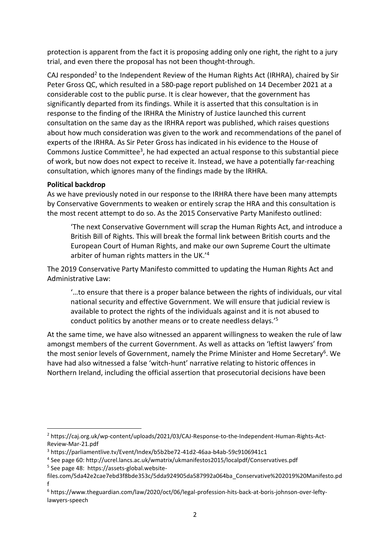protection is apparent from the fact it is proposing adding only one right, the right to a jury trial, and even there the proposal has not been thought-through.

CAJ responded<sup>2</sup> to the Independent Review of the Human Rights Act (IRHRA), chaired by Sir Peter Gross QC, which resulted in a 580-page report published on 14 December 2021 at a considerable cost to the public purse. It is clear however, that the government has significantly departed from its findings. While it is asserted that this consultation is in response to the finding of the IRHRA the Ministry of Justice launched this current consultation on the same day as the IRHRA report was published, which raises questions about how much consideration was given to the work and recommendations of the panel of experts of the IRHRA. As Sir Peter Gross has indicated in his evidence to the House of Commons Justice Committee<sup>3</sup>, he had expected an actual response to this substantial piece of work, but now does not expect to receive it. Instead, we have a potentially far-reaching consultation, which ignores many of the findings made by the IRHRA.

#### **Political backdrop**

As we have previously noted in our response to the IRHRA there have been many attempts by Conservative Governments to weaken or entirely scrap the HRA and this consultation is the most recent attempt to do so. As the 2015 Conservative Party Manifesto outlined:

'The next Conservative Government will scrap the Human Rights Act, and introduce a British Bill of Rights. This will break the formal link between British courts and the European Court of Human Rights, and make our own Supreme Court the ultimate arbiter of human rights matters in the UK.'<sup>4</sup>

The 2019 Conservative Party Manifesto committed to updating the Human Rights Act and Administrative Law:

'…to ensure that there is a proper balance between the rights of individuals, our vital national security and effective Government. We will ensure that judicial review is available to protect the rights of the individuals against and it is not abused to conduct politics by another means or to create needless delays.'<sup>5</sup>

At the same time, we have also witnessed an apparent willingness to weaken the rule of law amongst members of the current Government. As well as attacks on 'leftist lawyers' from the most senior levels of Government, namely the Prime Minister and Home Secretary<sup>6</sup>. We have had also witnessed a false 'witch-hunt' narrative relating to historic offences in Northern Ireland, including the official assertion that prosecutorial decisions have been

- 4 See page 60: http://ucrel.lancs.ac.uk/wmatrix/ukmanifestos2015/localpdf/Conservatives.pdf
- 5 See page 48: https://assets-global.website-

<sup>2</sup> https://caj.org.uk/wp-content/uploads/2021/03/CAJ-Response-to-the-Independent-Human-Rights-Act-Review-Mar-21.pdf

<sup>3</sup> https://parliamentlive.tv/Event/Index/b5b2be72-41d2-46aa-b4ab-59c9106941c1

files.com/5da42e2cae7ebd3f8bde353c/5dda924905da587992a064ba\_Conservative%202019%20Manifesto.pd f

<sup>6</sup> https://www.theguardian.com/law/2020/oct/06/legal-profession-hits-back-at-boris-johnson-over-leftylawyers-speech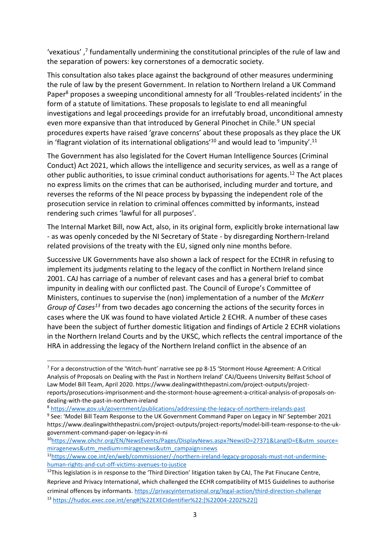'vexatious',<sup>7</sup> fundamentally undermining the constitutional principles of the rule of law and the separation of powers: key cornerstones of a democratic society.

This consultation also takes place against the background of other measures undermining the rule of law by the present Government. In relation to Northern Ireland a UK Command Paper<sup>8</sup> proposes a sweeping unconditional amnesty for all 'Troubles-related incidents' in the form of a statute of limitations. These proposals to legislate to end all meaningful investigations and legal proceedings provide for an irrefutably broad, unconditional amnesty even more expansive than that introduced by General Pinochet in Chile.<sup>9</sup> UN special procedures experts have raised 'grave concerns' about these proposals as they place the UK in 'flagrant violation of its international obligations<sup>'10</sup> and would lead to 'impunity'.<sup>11</sup>

The Government has also legislated for the Covert Human Intelligence Sources (Criminal Conduct) Act 2021, which allows the intelligence and security services, as well as a range of other public authorities, to issue criminal conduct authorisations for agents.<sup>12</sup> The Act places no express limits on the crimes that can be authorised, including murder and torture, and reverses the reforms of the NI peace process by bypassing the independent role of the prosecution service in relation to criminal offences committed by informants, instead rendering such crimes 'lawful for all purposes'.

The Internal Market Bill, now Act, also, in its original form, explicitly broke international law - as was openly conceded by the NI Secretary of State - by disregarding Northern-Ireland related provisions of the treaty with the EU, signed only nine months before.

Successive UK Governments have also shown a lack of respect for the ECtHR in refusing to implement its judgments relating to the legacy of the conflict in Northern Ireland since 2001. CAJ has carriage of a number of relevant cases and has a general brief to combat impunity in dealing with our conflicted past. The Council of Europe's Committee of Ministers, continues to supervise the (non) implementation of a number of the *McKerr Group of Cases<sup>13</sup>* from two decades ago concerning the actions of the security forces in cases where the UK was found to have violated Article 2 ECHR. A number of these cases have been the subject of further domestic litigation and findings of Article 2 ECHR violations in the Northern Ireland Courts and by the UKSC, which reflects the central importance of the HRA in addressing the legacy of the Northern Ireland conflict in the absence of an

<sup>10</sup>[https://www.ohchr.org/EN/NewsEvents/Pages/DisplayNews.aspx?NewsID=27371&LangID=E&utm\\_source=](https://www.ohchr.org/EN/NewsEvents/Pages/DisplayNews.aspx?NewsID=27371&LangID=E&utm_source=miragenews&utm_medium=miragenews&utm_campaign=news) [miragenews&utm\\_medium=miragenews&utm\\_campaign=news](https://www.ohchr.org/EN/NewsEvents/Pages/DisplayNews.aspx?NewsID=27371&LangID=E&utm_source=miragenews&utm_medium=miragenews&utm_campaign=news)

<sup>7</sup> For a deconstruction of the 'Witch-hunt' narrative see pp 8-15 'Stormont House Agreement: A Critical Analysis of Proposals on Dealing with the Past in Northern Ireland' CAJ/Queens University Belfast School of Law Model Bill Team, April 2020. https://www.dealingwiththepastni.com/project-outputs/projectreports/prosecutions-imprisonment-and-the-stormont-house-agreement-a-critical-analysis-of-proposals-ondealing-with-the-past-in-northern-ireland

<sup>8</sup> <https://www.gov.uk/government/publications/addressing-the-legacy-of-northern-irelands-past>

<sup>&</sup>lt;sup>9</sup> See: 'Model Bill Team Response to the UK Government Command Paper on Legacy in NI' September 2021 https://www.dealingwiththepastni.com/project-outputs/project-reports/model-bill-team-response-to-the-ukgovernment-command-paper-on-legacy-in-ni

<sup>11</sup>[https://www.coe.int/en/web/commissioner/-/northern-ireland-legacy-proposals-must-not-undermine](https://www.coe.int/en/web/commissioner/-/northern-ireland-legacy-proposals-must-not-undermine-human-rights-and-cut-off-victims-avenues-to-justice)[human-rights-and-cut-off-victims-avenues-to-justice](https://www.coe.int/en/web/commissioner/-/northern-ireland-legacy-proposals-must-not-undermine-human-rights-and-cut-off-victims-avenues-to-justice)

 $12$ This legislation is in response to the 'Third Direction' litigation taken by CAJ, The Pat Finucane Centre, Reprieve and Privacy International, which challenged the ECHR compatibility of M15 Guidelines to authorise criminal offences by informants[. https://privacyinternational.org/legal-action/third-direction-challenge](https://privacyinternational.org/legal-action/third-direction-challenge) <sup>13</sup> [https://hudoc.exec.coe.int/eng#{%22EXECIdentifier%22:\[%22004-2202%22\]}](https://hudoc.exec.coe.int/eng#{%22EXECIdentifier%22:[%22004-2202%22]})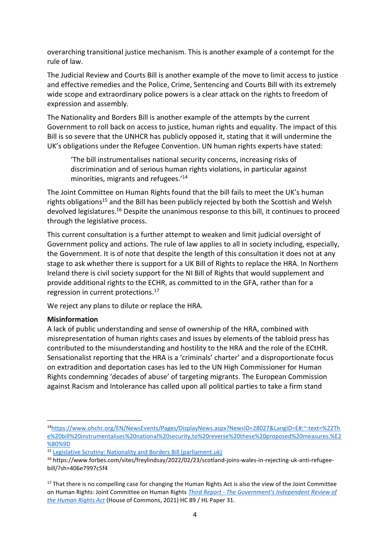overarching transitional justice mechanism. This is another example of a contempt for the rule of law.

The Judicial Review and Courts Bill is another example of the move to limit access to justice and effective remedies and the Police, Crime, Sentencing and Courts Bill with its extremely wide scope and extraordinary police powers is a clear attack on the rights to freedom of expression and assembly.

The Nationality and Borders Bill is another example of the attempts by the current Government to roll back on access to justice, human rights and equality. The impact of this Bill is so severe that the UNHCR has publicly opposed it, stating that it will undermine the UK's obligations under the Refugee Convention. UN human rights experts have stated:

'The bill instrumentalises national security concerns, increasing risks of discrimination and of serious human rights violations, in particular against minorities, migrants and refugees.'<sup>14</sup>

The Joint Committee on Human Rights found that the bill fails to meet the UK's human rights obligations<sup>15</sup> and the Bill has been publicly rejected by both the Scottish and Welsh devolved legislatures.<sup>16</sup> Despite the unanimous response to this bill, it continues to proceed through the legislative process.

This current consultation is a further attempt to weaken and limit judicial oversight of Government policy and actions. The rule of law applies to all in society including, especially, the Government. It is of note that despite the length of this consultation it does not at any stage to ask whether there is support for a UK Bill of Rights to replace the HRA. In Northern Ireland there is civil society support for the NI Bill of Rights that would supplement and provide additional rights to the ECHR, as committed to in the GFA, rather than for a regression in current protections. 17

We reject any plans to dilute or replace the HRA.

#### **Misinformation**

A lack of public understanding and sense of ownership of the HRA, combined with misrepresentation of human rights cases and issues by elements of the tabloid press has contributed to the misunderstanding and hostility to the HRA and the role of the ECtHR. Sensationalist reporting that the HRA is a 'criminals' charter' and a disproportionate focus on extradition and deportation cases has led to the UN High Commissioner for Human Rights condemning 'decades of abuse' of targeting migrants. The European Commission against Racism and Intolerance has called upon all political parties to take a firm stand

<sup>14</sup>[https://www.ohchr.org/EN/NewsEvents/Pages/DisplayNews.aspx?NewsID=28027&LangID=E#:~:text=%22Th](https://www.ohchr.org/EN/NewsEvents/Pages/DisplayNews.aspx?NewsID=28027&LangID=E#:~:text=%22The%20bill%20instrumentalises%20national%20security,to%20reverse%20these%20proposed%20measures.%E2%80%9D) [e%20bill%20instrumentalises%20national%20security,to%20reverse%20these%20proposed%20measures.%E2](https://www.ohchr.org/EN/NewsEvents/Pages/DisplayNews.aspx?NewsID=28027&LangID=E#:~:text=%22The%20bill%20instrumentalises%20national%20security,to%20reverse%20these%20proposed%20measures.%E2%80%9D) [%80%9D](https://www.ohchr.org/EN/NewsEvents/Pages/DisplayNews.aspx?NewsID=28027&LangID=E#:~:text=%22The%20bill%20instrumentalises%20national%20security,to%20reverse%20these%20proposed%20measures.%E2%80%9D)

<sup>15</sup> [Legislative Scrutiny: Nationality and Borders Bill \(parliament.uk\)](https://committees.parliament.uk/publications/8549/documents/86371/default/)

<sup>16</sup> https://www.forbes.com/sites/freylindsay/2022/02/23/scotland-joins-wales-in-rejecting-uk-anti-refugeebill/?sh=406e7997c5f4

<sup>&</sup>lt;sup>17</sup> That there is no compelling case for changing the Human Rights Act is also the view of the Joint Committee on Human Rights: Joint Committee on Human Rights *Third Report - [The Government's Independent Review of](https://publications.parliament.uk/pa/jt5802/jtselect/jtrights/89/8903.htm#_idTextAnchor001)  [the Human Rights Act](https://publications.parliament.uk/pa/jt5802/jtselect/jtrights/89/8903.htm#_idTextAnchor001)* (House of Commons, 2021) HC 89 / HL Paper 31.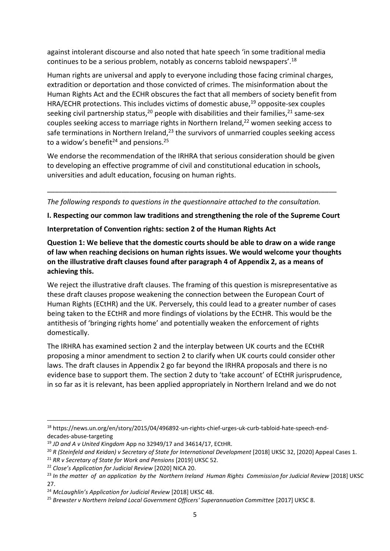against intolerant discourse and also noted that hate speech 'in some traditional media continues to be a serious problem, notably as concerns tabloid newspapers'.<sup>18</sup>

Human rights are universal and apply to everyone including those facing criminal charges, extradition or deportation and those convicted of crimes. The misinformation about the Human Rights Act and the ECHR obscures the fact that all members of society benefit from HRA/ECHR protections. This includes victims of domestic abuse, $19$  opposite-sex couples seeking civil partnership status,<sup>20</sup> people with disabilities and their families,<sup>21</sup> same-sex couples seeking access to marriage rights in Northern Ireland,<sup>22</sup> women seeking access to safe terminations in Northern Ireland,<sup>23</sup> the survivors of unmarried couples seeking access to a widow's benefit<sup>24</sup> and pensions.<sup>25</sup>

We endorse the recommendation of the IRHRA that serious consideration should be given to developing an effective programme of civil and constitutional education in schools, universities and adult education, focusing on human rights.

\_\_\_\_\_\_\_\_\_\_\_\_\_\_\_\_\_\_\_\_\_\_\_\_\_\_\_\_\_\_\_\_\_\_\_\_\_\_\_\_\_\_\_\_\_\_\_\_\_\_\_\_\_\_\_\_\_\_\_\_\_\_\_\_\_\_\_\_\_\_\_\_\_\_

*The following responds to questions in the questionnaire attached to the consultation.* 

**I. Respecting our common law traditions and strengthening the role of the Supreme Court**

**Interpretation of Convention rights: section 2 of the Human Rights Act**

**Question 1: We believe that the domestic courts should be able to draw on a wide range of law when reaching decisions on human rights issues. We would welcome your thoughts on the illustrative draft clauses found after paragraph 4 of Appendix 2, as a means of achieving this.**

We reject the illustrative draft clauses. The framing of this question is misrepresentative as these draft clauses propose weakening the connection between the European Court of Human Rights (ECtHR) and the UK. Perversely, this could lead to a greater number of cases being taken to the ECtHR and more findings of violations by the ECtHR. This would be the antithesis of 'bringing rights home' and potentially weaken the enforcement of rights domestically.

The IRHRA has examined section 2 and the interplay between UK courts and the ECtHR proposing a minor amendment to section 2 to clarify when UK courts could consider other laws. The draft clauses in Appendix 2 go far beyond the IRHRA proposals and there is no evidence base to support them. The section 2 duty to 'take account' of ECtHR jurisprudence, in so far as it is relevant, has been applied appropriately in Northern Ireland and we do not

<sup>18</sup> https://news.un.org/en/story/2015/04/496892-un-rights-chief-urges-uk-curb-tabloid-hate-speech-enddecades-abuse-targeting

<sup>19</sup> *JD and A v United Kingdom* App no 32949/17 and 34614/17, ECtHR.

<sup>&</sup>lt;sup>20</sup> R (Steinfeld and Keidan) v Secretary of State for International Development [2018] UKSC 32, [2020] Appeal Cases 1.

<sup>21</sup> *RR v Secretary of State for Work and Pensions* [2019] UKSC 52.

<sup>22</sup> *Close's Application for Judicial Review* [2020] NICA 20.

<sup>&</sup>lt;sup>23</sup> In the matter of an application by the Northern Ireland Human Rights Commission for Judicial Review [2018] UKSC 27.

<sup>24</sup> *McLaughlin's Application for Judicial Review* [2018] UKSC 48.

<sup>25</sup> *Brewster v Northern Ireland Local Government Officers' Superannuation Committee* [2017] UKSC 8.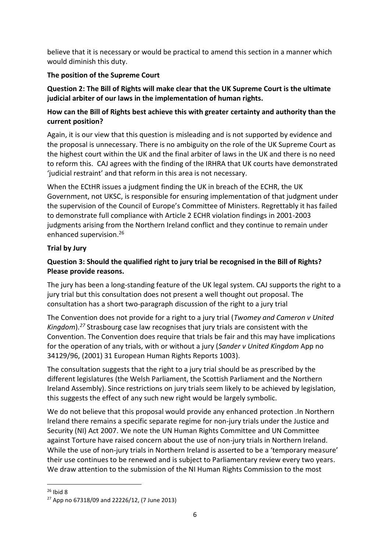believe that it is necessary or would be practical to amend this section in a manner which would diminish this duty.

# **The position of the Supreme Court**

**Question 2: The Bill of Rights will make clear that the UK Supreme Court is the ultimate judicial arbiter of our laws in the implementation of human rights.**

## **How can the Bill of Rights best achieve this with greater certainty and authority than the current position?**

Again, it is our view that this question is misleading and is not supported by evidence and the proposal is unnecessary. There is no ambiguity on the role of the UK Supreme Court as the highest court within the UK and the final arbiter of laws in the UK and there is no need to reform this. CAJ agrees with the finding of the IRHRA that UK courts have demonstrated 'judicial restraint' and that reform in this area is not necessary.

When the ECtHR issues a judgment finding the UK in breach of the ECHR, the UK Government, not UKSC, is responsible for ensuring implementation of that judgment under the supervision of the Council of Europe's Committee of Ministers. Regrettably it has failed to demonstrate full compliance with Article 2 ECHR violation findings in 2001-2003 judgments arising from the Northern Ireland conflict and they continue to remain under enhanced supervision. 26

## **Trial by Jury**

# **Question 3: Should the qualified right to jury trial be recognised in the Bill of Rights? Please provide reasons.**

The jury has been a long-standing feature of the UK legal system. CAJ supports the right to a jury trial but this consultation does not present a well thought out proposal. The consultation has a short two-paragraph discussion of the right to a jury trial

The Convention does not provide for a right to a jury trial (*Twomey and Cameron v United Kingdom*). *<sup>27</sup>* Strasbourg case law recognises that jury trials are consistent with the Convention. The Convention does require that trials be fair and this may have implications for the operation of any trials, with or without a jury (*Sander v United Kingdom* App no 34129/96, (2001) 31 European Human Rights Reports 1003).

The consultation suggests that the right to a jury trial should be as prescribed by the different legislatures (the Welsh Parliament, the Scottish Parliament and the Northern Ireland Assembly). Since restrictions on jury trials seem likely to be achieved by legislation, this suggests the effect of any such new right would be largely symbolic.

We do not believe that this proposal would provide any enhanced protection .In Northern Ireland there remains a specific separate regime for non-jury trials under the Justice and Security (NI) Act 2007. We note the UN Human Rights Committee and UN Committee against Torture have raised concern about the use of non-jury trials in Northern Ireland. While the use of non-jury trials in Northern Ireland is asserted to be a 'temporary measure' their use continues to be renewed and is subject to Parliamentary review every two years. We draw attention to the submission of the NI Human Rights Commission to the most

 $26$  Ibid 8

<sup>27</sup> App no 67318/09 and 22226/12, (7 June 2013)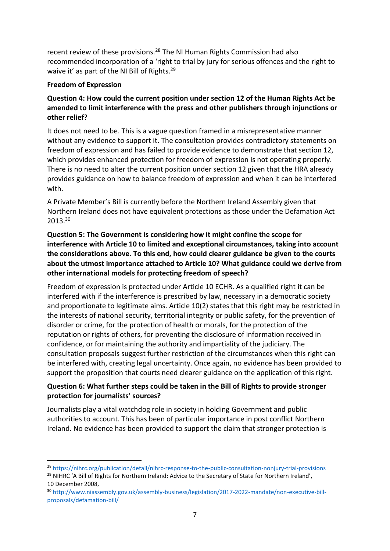recent review of these provisions.<sup>28</sup> The NI Human Rights Commission had also recommended incorporation of a 'right to trial by jury for serious offences and the right to waive it' as part of the NI Bill of Rights.<sup>29</sup>

## **Freedom of Expression**

## **Question 4: How could the current position under section 12 of the Human Rights Act be amended to limit interference with the press and other publishers through injunctions or other relief?**

It does not need to be. This is a vague question framed in a misrepresentative manner without any evidence to support it. The consultation provides contradictory statements on freedom of expression and has failed to provide evidence to demonstrate that section 12, which provides enhanced protection for freedom of expression is not operating properly. There is no need to alter the current position under section 12 given that the HRA already provides guidance on how to balance freedom of expression and when it can be interfered with.

A Private Member's Bill is currently before the Northern Ireland Assembly given that Northern Ireland does not have equivalent protections as those under the Defamation Act 2013.<sup>30</sup>

## **Question 5: The Government is considering how it might confine the scope for interference with Article 10 to limited and exceptional circumstances, taking into account the considerations above. To this end, how could clearer guidance be given to the courts about the utmost importance attached to Article 10? What guidance could we derive from other international models for protecting freedom of speech?**

Freedom of expression is protected under Article 10 ECHR. As a qualified right it can be interfered with if the interference is prescribed by law, necessary in a democratic society and proportionate to legitimate aims. Article 10(2) states that this right may be restricted in the interests of national security, territorial integrity or public safety, for the prevention of disorder or crime, for the protection of health or morals, for the protection of the reputation or rights of others, for preventing the disclosure of information received in confidence, or for maintaining the authority and impartiality of the judiciary. The consultation proposals suggest further restriction of the circumstances when this right can be interfered with, creating legal uncertainty. Once again, no evidence has been provided to support the proposition that courts need clearer guidance on the application of this right.

## **Question 6: What further steps could be taken in the Bill of Rights to provide stronger protection for journalists' sources?**

Journalists play a vital watchdog role in society in holding Government and public authorities to account. This has been of particular importance in post conflict Northern Ireland. No evidence has been provided to support the claim that stronger protection is

<sup>28</sup> <https://nihrc.org/publication/detail/nihrc-response-to-the-public-consultation-nonjury-trial-provisions> <sup>29</sup> NIHRC 'A Bill of Rights for Northern Ireland: Advice to the Secretary of State for Northern Ireland', 10 December 2008,

<sup>30</sup> [http://www.niassembly.gov.uk/assembly-business/legislation/2017-2022-mandate/non-executive-bill](http://www.niassembly.gov.uk/assembly-business/legislation/2017-2022-mandate/non-executive-bill-proposals/defamation-bill/)[proposals/defamation-bill/](http://www.niassembly.gov.uk/assembly-business/legislation/2017-2022-mandate/non-executive-bill-proposals/defamation-bill/)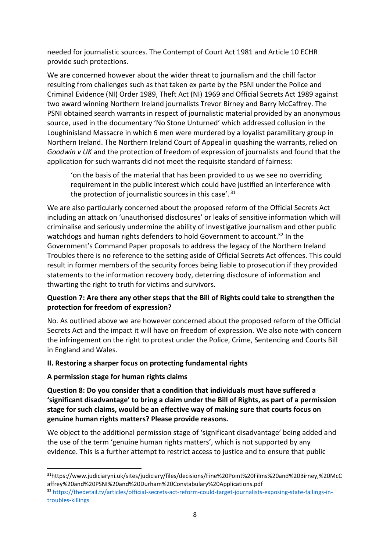needed for journalistic sources. The Contempt of Court Act 1981 and Article 10 ECHR provide such protections.

We are concerned however about the wider threat to journalism and the chill factor resulting from challenges such as that taken ex parte by the PSNI under the Police and Criminal Evidence (NI) Order 1989, Theft Act (NI) 1969 and Official Secrets Act 1989 against two award winning Northern Ireland journalists Trevor Birney and Barry McCaffrey. The PSNI obtained search warrants in respect of journalistic material provided by an anonymous source, used in the documentary 'No Stone Unturned' which addressed collusion in the Loughinisland Massacre in which 6 men were murdered by a loyalist paramilitary group in Northern Ireland. The Northern Ireland Court of Appeal in quashing the warrants, relied on *Goodwin v UK* and the protection of freedom of expression of journalists and found that the application for such warrants did not meet the requisite standard of fairness:

'on the basis of the material that has been provided to us we see no overriding requirement in the public interest which could have justified an interference with the protection of journalistic sources in this case'.<sup>31</sup>

We are also particularly concerned about the proposed reform of the Official Secrets Act including an attack on 'unauthorised disclosures' or leaks of sensitive information which will criminalise and seriously undermine the ability of investigative journalism and other public watchdogs and human rights defenders to hold Government to account.<sup>32</sup> In the Government's Command Paper proposals to address the legacy of the Northern Ireland Troubles there is no reference to the setting aside of Official Secrets Act offences. This could result in former members of the security forces being liable to prosecution if they provided statements to the information recovery body, deterring disclosure of information and thwarting the right to truth for victims and survivors.

## **Question 7: Are there any other steps that the Bill of Rights could take to strengthen the protection for freedom of expression?**

No. As outlined above we are however concerned about the proposed reform of the Official Secrets Act and the impact it will have on freedom of expression. We also note with concern the infringement on the right to protest under the Police, Crime, Sentencing and Courts Bill in England and Wales.

# **II. Restoring a sharper focus on protecting fundamental rights**

## **A permission stage for human rights claims**

**Question 8: Do you consider that a condition that individuals must have suffered a 'significant disadvantage' to bring a claim under the Bill of Rights, as part of a permission stage for such claims, would be an effective way of making sure that courts focus on genuine human rights matters? Please provide reasons.**

We object to the additional permission stage of 'significant disadvantage' being added and the use of the term 'genuine human rights matters', which is not supported by any evidence. This is a further attempt to restrict access to justice and to ensure that public

<sup>31</sup>https://www.judiciaryni.uk/sites/judiciary/files/decisions/Fine%20Point%20Films%20and%20Birney,%20McC affrey%20and%20PSNI%20and%20Durham%20Constabulary%20Applications.pdf

<sup>32</sup> [https://thedetail.tv/articles/official-secrets-act-reform-could-target-journalists-exposing-state-failings-in](https://thedetail.tv/articles/official-secrets-act-reform-could-target-journalists-exposing-state-failings-in-troubles-killings)[troubles-killings](https://thedetail.tv/articles/official-secrets-act-reform-could-target-journalists-exposing-state-failings-in-troubles-killings)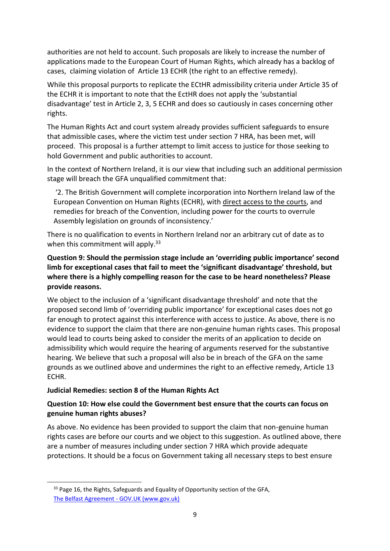authorities are not held to account. Such proposals are likely to increase the number of applications made to the European Court of Human Rights, which already has a backlog of cases, claiming violation of Article 13 ECHR (the right to an effective remedy).

While this proposal purports to replicate the ECtHR admissibility criteria under Article 35 of the ECHR it is important to note that the EctHR does not apply the 'substantial disadvantage' test in Article 2, 3, 5 ECHR and does so cautiously in cases concerning other rights.

The Human Rights Act and court system already provides sufficient safeguards to ensure that admissible cases, where the victim test under section 7 HRA, has been met, will proceed. This proposal is a further attempt to limit access to justice for those seeking to hold Government and public authorities to account.

In the context of Northern Ireland, it is our view that including such an additional permission stage will breach the GFA unqualified commitment that:

'2. The British Government will complete incorporation into Northern Ireland law of the European Convention on Human Rights (ECHR), with direct access to the courts, and remedies for breach of the Convention, including power for the courts to overrule Assembly legislation on grounds of inconsistency.'

There is no qualification to events in Northern Ireland nor an arbitrary cut of date as to when this commitment will apply.<sup>33</sup>

**Question 9: Should the permission stage include an 'overriding public importance' second limb for exceptional cases that fail to meet the 'significant disadvantage' threshold, but where there is a highly compelling reason for the case to be heard nonetheless? Please provide reasons.**

We object to the inclusion of a 'significant disadvantage threshold' and note that the proposed second limb of 'overriding public importance' for exceptional cases does not go far enough to protect against this interference with access to justice. As above, there is no evidence to support the claim that there are non-genuine human rights cases. This proposal would lead to courts being asked to consider the merits of an application to decide on admissibility which would require the hearing of arguments reserved for the substantive hearing. We believe that such a proposal will also be in breach of the GFA on the same grounds as we outlined above and undermines the right to an effective remedy, Article 13 ECHR.

## **Judicial Remedies: section 8 of the Human Rights Act**

# **Question 10: How else could the Government best ensure that the courts can focus on genuine human rights abuses?**

As above. No evidence has been provided to support the claim that non-genuine human rights cases are before our courts and we object to this suggestion. As outlined above, there are a number of measures including under section 7 HRA which provide adequate protections. It should be a focus on Government taking all necessary steps to best ensure

<sup>&</sup>lt;sup>33</sup> Page 16, the Rights, Safeguards and Equality of Opportunity section of the GFA, [The Belfast Agreement -](https://www.gov.uk/government/publications/the-belfast-agreement) GOV.UK (www.gov.uk)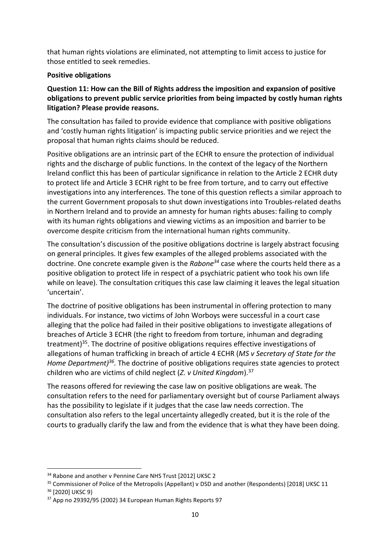that human rights violations are eliminated, not attempting to limit access to justice for those entitled to seek remedies.

## **Positive obligations**

## **Question 11: How can the Bill of Rights address the imposition and expansion of positive obligations to prevent public service priorities from being impacted by costly human rights litigation? Please provide reasons.**

The consultation has failed to provide evidence that compliance with positive obligations and 'costly human rights litigation' is impacting public service priorities and we reject the proposal that human rights claims should be reduced.

Positive obligations are an intrinsic part of the ECHR to ensure the protection of individual rights and the discharge of public functions. In the context of the legacy of the Northern Ireland conflict this has been of particular significance in relation to the Article 2 ECHR duty to protect life and Article 3 ECHR right to be free from torture, and to carry out effective investigations into any interferences. The tone of this question reflects a similar approach to the current Government proposals to shut down investigations into Troubles-related deaths in Northern Ireland and to provide an amnesty for human rights abuses: failing to comply with its human rights obligations and viewing victims as an imposition and barrier to be overcome despite criticism from the international human rights community.

The consultation's discussion of the positive obligations doctrine is largely abstract focusing on general principles. It gives few examples of the alleged problems associated with the doctrine. One concrete example given is the *Rabone<sup>34</sup>* case where the courts held there as a positive obligation to protect life in respect of a psychiatric patient who took his own life while on leave). The consultation critiques this case law claiming it leaves the legal situation 'uncertain'.

The doctrine of positive obligations has been instrumental in offering protection to many individuals. For instance, two victims of John Worboys were successful in a court case alleging that the police had failed in their positive obligations to investigate allegations of breaches of Article 3 ECHR (the right to freedom from torture, inhuman and degrading treatment)<sup>35</sup>. The doctrine of positive obligations requires effective investigations of allegations of human trafficking in breach of article 4 ECHR (*MS v Secretary of State for the*  Home Department)<sup>36</sup>. The doctrine of positive obligations requires state agencies to protect children who are victims of child neglect (*Z. v United Kingdom*). 37

The reasons offered for reviewing the case law on positive obligations are weak. The consultation refers to the need for parliamentary oversight but of course Parliament always has the possibility to legislate if it judges that the case law needs correction. The consultation also refers to the legal uncertainty allegedly created, but it is the role of the courts to gradually clarify the law and from the evidence that is what they have been doing.

<sup>&</sup>lt;sup>34</sup> Rabone and another v Pennine Care NHS Trust [2012] UKSC 2

<sup>&</sup>lt;sup>35</sup> Commissioner of Police of the Metropolis (Appellant) v DSD and another (Respondents) [2018] UKSC 11 <sup>36</sup> [2020] UKSC 9)

<sup>37</sup> App no 29392/95 (2002) 34 European Human Rights Reports 97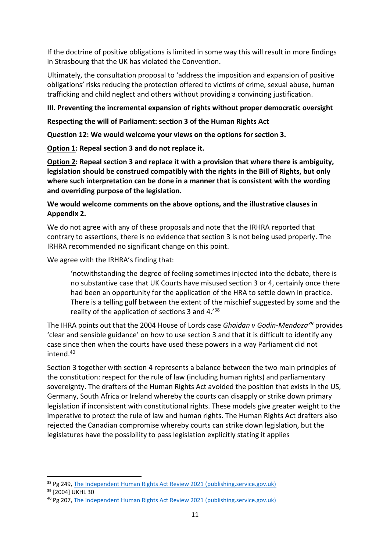If the doctrine of positive obligations is limited in some way this will result in more findings in Strasbourg that the UK has violated the Convention.

Ultimately, the consultation proposal to 'address the imposition and expansion of positive obligations' risks reducing the protection offered to victims of crime, sexual abuse, human trafficking and child neglect and others without providing a convincing justification.

## **III. Preventing the incremental expansion of rights without proper democratic oversight**

**Respecting the will of Parliament: section 3 of the Human Rights Act**

**Question 12: We would welcome your views on the options for section 3.**

**Option 1: Repeal section 3 and do not replace it.**

**Option 2: Repeal section 3 and replace it with a provision that where there is ambiguity, legislation should be construed compatibly with the rights in the Bill of Rights, but only where such interpretation can be done in a manner that is consistent with the wording and overriding purpose of the legislation.**

# **We would welcome comments on the above options, and the illustrative clauses in Appendix 2.**

We do not agree with any of these proposals and note that the IRHRA reported that contrary to assertions, there is no evidence that section 3 is not being used properly. The IRHRA recommended no significant change on this point.

We agree with the IRHRA's finding that:

'notwithstanding the degree of feeling sometimes injected into the debate, there is no substantive case that UK Courts have misused section 3 or 4, certainly once there had been an opportunity for the application of the HRA to settle down in practice. There is a telling gulf between the extent of the mischief suggested by some and the reality of the application of sections 3 and 4.'<sup>38</sup>

The IHRA points out that the 2004 House of Lords case *Ghaidan v Godin-Mendoza<sup>39</sup>* provides 'clear and sensible guidance' on how to use section 3 and that it is difficult to identify any case since then when the courts have used these powers in a way Parliament did not intend.<sup>40</sup>

Section 3 together with section 4 represents a balance between the two main principles of the constitution: respect for the rule of law (including human rights) and parliamentary sovereignty. The drafters of the Human Rights Act avoided the position that exists in the US, Germany, South Africa or Ireland whereby the courts can disapply or strike down primary legislation if inconsistent with constitutional rights. These models give greater weight to the imperative to protect the rule of law and human rights. The Human Rights Act drafters also rejected the Canadian compromise whereby courts can strike down legislation, but the legislatures have the possibility to pass legislation explicitly stating it applies

<sup>&</sup>lt;sup>38</sup> Pg 249, [The Independent Human Rights Act Review 2021 \(publishing.service.gov.uk\)](https://assets.publishing.service.gov.uk/government/uploads/system/uploads/attachment_data/file/1040525/ihrar-final-report.pdf)

<sup>39</sup> [2004] UKHL 30

<sup>40</sup> Pg 207, [The Independent Human Rights Act Review 2021 \(publishing.service.gov.uk\)](https://assets.publishing.service.gov.uk/government/uploads/system/uploads/attachment_data/file/1040525/ihrar-final-report.pdf)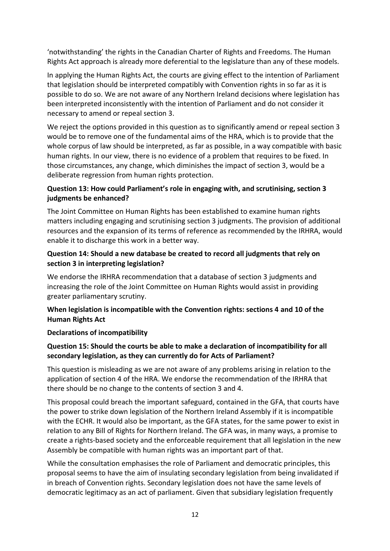'notwithstanding' the rights in the Canadian Charter of Rights and Freedoms. The Human Rights Act approach is already more deferential to the legislature than any of these models.

In applying the Human Rights Act, the courts are giving effect to the intention of Parliament that legislation should be interpreted compatibly with Convention rights in so far as it is possible to do so. We are not aware of any Northern Ireland decisions where legislation has been interpreted inconsistently with the intention of Parliament and do not consider it necessary to amend or repeal section 3.

We reject the options provided in this question as to significantly amend or repeal section 3 would be to remove one of the fundamental aims of the HRA, which is to provide that the whole corpus of law should be interpreted, as far as possible, in a way compatible with basic human rights. In our view, there is no evidence of a problem that requires to be fixed. In those circumstances, any change, which diminishes the impact of section 3, would be a deliberate regression from human rights protection.

## **Question 13: How could Parliament's role in engaging with, and scrutinising, section 3 judgments be enhanced?**

The Joint Committee on Human Rights has been established to examine human rights matters including engaging and scrutinising section 3 judgments. The provision of additional resources and the expansion of its terms of reference as recommended by the IRHRA, would enable it to discharge this work in a better way.

#### **Question 14: Should a new database be created to record all judgments that rely on section 3 in interpreting legislation?**

We endorse the IRHRA recommendation that a database of section 3 judgments and increasing the role of the Joint Committee on Human Rights would assist in providing greater parliamentary scrutiny.

## **When legislation is incompatible with the Convention rights: sections 4 and 10 of the Human Rights Act**

#### **Declarations of incompatibility**

## **Question 15: Should the courts be able to make a declaration of incompatibility for all secondary legislation, as they can currently do for Acts of Parliament?**

This question is misleading as we are not aware of any problems arising in relation to the application of section 4 of the HRA. We endorse the recommendation of the IRHRA that there should be no change to the contents of section 3 and 4.

This proposal could breach the important safeguard, contained in the GFA, that courts have the power to strike down legislation of the Northern Ireland Assembly if it is incompatible with the ECHR. It would also be important, as the GFA states, for the same power to exist in relation to any Bill of Rights for Northern Ireland. The GFA was, in many ways, a promise to create a rights-based society and the enforceable requirement that all legislation in the new Assembly be compatible with human rights was an important part of that.

While the consultation emphasises the role of Parliament and democratic principles, this proposal seems to have the aim of insulating secondary legislation from being invalidated if in breach of Convention rights. Secondary legislation does not have the same levels of democratic legitimacy as an act of parliament. Given that subsidiary legislation frequently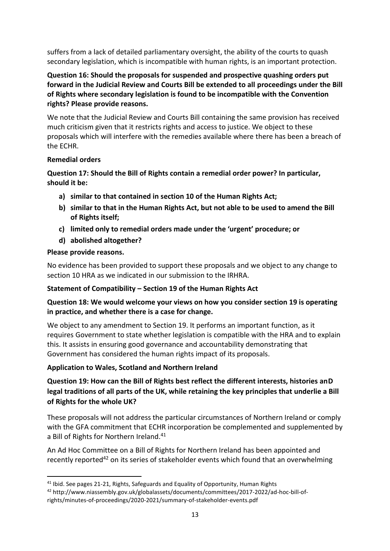suffers from a lack of detailed parliamentary oversight, the ability of the courts to quash secondary legislation, which is incompatible with human rights, is an important protection.

# **Question 16: Should the proposals for suspended and prospective quashing orders put forward in the Judicial Review and Courts Bill be extended to all proceedings under the Bill of Rights where secondary legislation is found to be incompatible with the Convention rights? Please provide reasons.**

We note that the Judicial Review and Courts Bill containing the same provision has received much criticism given that it restricts rights and access to justice. We object to these proposals which will interfere with the remedies available where there has been a breach of the ECHR.

## **Remedial orders**

# **Question 17: Should the Bill of Rights contain a remedial order power? In particular, should it be:**

- **a) similar to that contained in section 10 of the Human Rights Act;**
- **b) similar to that in the Human Rights Act, but not able to be used to amend the Bill of Rights itself;**
- **c) limited only to remedial orders made under the 'urgent' procedure; or**
- **d) abolished altogether?**

#### **Please provide reasons.**

No evidence has been provided to support these proposals and we object to any change to section 10 HRA as we indicated in our submission to the IRHRA.

## **Statement of Compatibility – Section 19 of the Human Rights Act**

## **Question 18: We would welcome your views on how you consider section 19 is operating in practice, and whether there is a case for change.**

We object to any amendment to Section 19. It performs an important function, as it requires Government to state whether legislation is compatible with the HRA and to explain this. It assists in ensuring good governance and accountability demonstrating that Government has considered the human rights impact of its proposals.

## **Application to Wales, Scotland and Northern Ireland**

# **Question 19: How can the Bill of Rights best reflect the different interests, histories anD legal traditions of all parts of the UK, while retaining the key principles that underlie a Bill of Rights for the whole UK?**

These proposals will not address the particular circumstances of Northern Ireland or comply with the GFA commitment that ECHR incorporation be complemented and supplemented by a Bill of Rights for Northern Ireland.<sup>41</sup>

An Ad Hoc Committee on a Bill of Rights for Northern Ireland has been appointed and recently reported<sup>42</sup> on its series of stakeholder events which found that an overwhelming

<sup>&</sup>lt;sup>41</sup> Ibid. See pages 21-21, Rights, Safeguards and Equality of Opportunity, Human Rights

<sup>42</sup> http://www.niassembly.gov.uk/globalassets/documents/committees/2017-2022/ad-hoc-bill-ofrights/minutes-of-proceedings/2020-2021/summary-of-stakeholder-events.pdf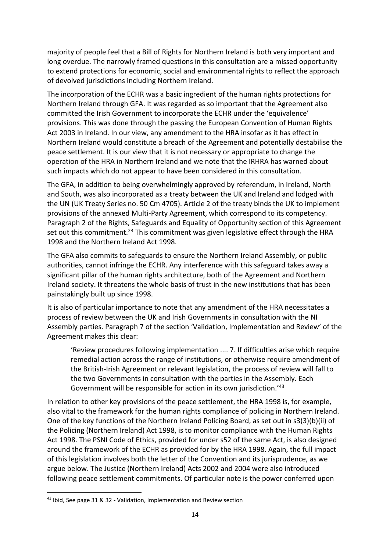majority of people feel that a Bill of Rights for Northern Ireland is both very important and long overdue. The narrowly framed questions in this consultation are a missed opportunity to extend protections for economic, social and environmental rights to reflect the approach of devolved jurisdictions including Northern Ireland.

The incorporation of the ECHR was a basic ingredient of the human rights protections for Northern Ireland through GFA. It was regarded as so important that the Agreement also committed the Irish Government to incorporate the ECHR under the 'equivalence' provisions. This was done through the passing the European Convention of Human Rights Act 2003 in Ireland. In our view, any amendment to the HRA insofar as it has effect in Northern Ireland would constitute a breach of the Agreement and potentially destabilise the peace settlement. It is our view that it is not necessary or appropriate to change the operation of the HRA in Northern Ireland and we note that the IRHRA has warned about such impacts which do not appear to have been considered in this consultation.

The GFA, in addition to being overwhelmingly approved by referendum, in Ireland, North and South, was also incorporated as a treaty between the UK and Ireland and lodged with the UN (UK Treaty Series no. 50 Cm 4705). Article 2 of the treaty binds the UK to implement provisions of the annexed Multi-Party Agreement, which correspond to its competency. Paragraph 2 of the Rights, Safeguards and Equality of Opportunity section of this Agreement set out this commitment.<sup>23</sup> This commitment was given legislative effect through the HRA 1998 and the Northern Ireland Act 1998.

The GFA also commits to safeguards to ensure the Northern Ireland Assembly, or public authorities, cannot infringe the ECHR. Any interference with this safeguard takes away a significant pillar of the human rights architecture, both of the Agreement and Northern Ireland society. It threatens the whole basis of trust in the new institutions that has been painstakingly built up since 1998.

It is also of particular importance to note that any amendment of the HRA necessitates a process of review between the UK and Irish Governments in consultation with the NI Assembly parties. Paragraph 7 of the section 'Validation, Implementation and Review' of the Agreement makes this clear:

'Review procedures following implementation .... 7. If difficulties arise which require remedial action across the range of institutions, or otherwise require amendment of the British-Irish Agreement or relevant legislation, the process of review will fall to the two Governments in consultation with the parties in the Assembly. Each Government will be responsible for action in its own jurisdiction.'<sup>43</sup>

In relation to other key provisions of the peace settlement, the HRA 1998 is, for example, also vital to the framework for the human rights compliance of policing in Northern Ireland. One of the key functions of the Northern Ireland Policing Board, as set out in s3(3)(b)(ii) of the Policing (Northern Ireland) Act 1998, is to monitor compliance with the Human Rights Act 1998. The PSNI Code of Ethics, provided for under s52 of the same Act, is also designed around the framework of the ECHR as provided for by the HRA 1998. Again, the full impact of this legislation involves both the letter of the Convention and its jurisprudence, as we argue below. The Justice (Northern Ireland) Acts 2002 and 2004 were also introduced following peace settlement commitments. Of particular note is the power conferred upon

<sup>43</sup> Ibid, See page 31 & 32 - Validation, Implementation and Review section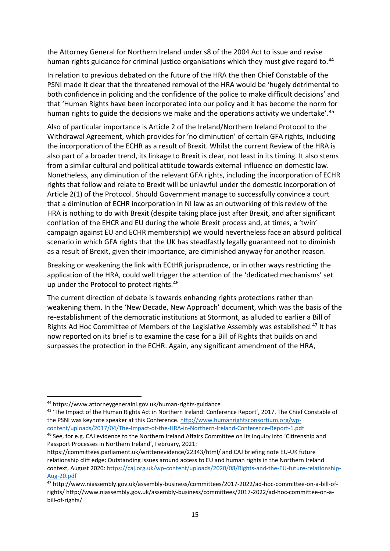the Attorney General for Northern Ireland under s8 of the 2004 Act to issue and revise human rights guidance for criminal justice organisations which they must give regard to.<sup>44</sup>

In relation to previous debated on the future of the HRA the then Chief Constable of the PSNI made it clear that the threatened removal of the HRA would be 'hugely detrimental to both confidence in policing and the confidence of the police to make difficult decisions' and that 'Human Rights have been incorporated into our policy and it has become the norm for human rights to guide the decisions we make and the operations activity we undertake'.<sup>45</sup>

Also of particular importance is Article 2 of the Ireland/Northern Ireland Protocol to the Withdrawal Agreement, which provides for 'no diminution' of certain GFA rights, including the incorporation of the ECHR as a result of Brexit. Whilst the current Review of the HRA is also part of a broader trend, its linkage to Brexit is clear, not least in its timing. It also stems from a similar cultural and political attitude towards external influence on domestic law. Nonetheless, any diminution of the relevant GFA rights, including the incorporation of ECHR rights that follow and relate to Brexit will be unlawful under the domestic incorporation of Article 2(1) of the Protocol. Should Government manage to successfully convince a court that a diminution of ECHR incorporation in NI law as an outworking of this review of the HRA is nothing to do with Brexit (despite taking place just after Brexit, and after significant conflation of the EHCR and EU during the whole Brexit process and, at times, a 'twin' campaign against EU and ECHR membership) we would nevertheless face an absurd political scenario in which GFA rights that the UK has steadfastly legally guaranteed not to diminish as a result of Brexit, given their importance, are diminished anyway for another reason.

Breaking or weakening the link with ECtHR jurisprudence, or in other ways restricting the application of the HRA, could well trigger the attention of the 'dedicated mechanisms' set up under the Protocol to protect rights.<sup>46</sup>

The current direction of debate is towards enhancing rights protections rather than weakening them. In the 'New Decade, New Approach' document, which was the basis of the re-establishment of the democratic institutions at Stormont, as alluded to earlier a Bill of Rights Ad Hoc Committee of Members of the Legislative Assembly was established.<sup>47</sup> It has now reported on its brief is to examine the case for a Bill of Rights that builds on and surpasses the protection in the ECHR. Again, any significant amendment of the HRA,

<sup>44</sup> https://www.attorneygeneralni.gov.uk/human-rights-guidance

<sup>45</sup> 'The Impact of the Human Rights Act in Northern Ireland: Conference Report', 2017. The Chief Constable of the PSNI was keynote speaker at this Conference. [http://www.humanrightsconsortium.org/wp](http://www.humanrightsconsortium.org/wp-content/uploads/2017/04/The-Impact-of-the-HRA-in-Northern-Ireland-Conference-Report-1.pdf)[content/uploads/2017/04/The-Impact-of-the-HRA-in-Northern-Ireland-Conference-Report-1.pdf](http://www.humanrightsconsortium.org/wp-content/uploads/2017/04/The-Impact-of-the-HRA-in-Northern-Ireland-Conference-Report-1.pdf)

<sup>46</sup> See, for e.g. CAJ evidence to the Northern Ireland Affairs Committee on its inquiry into 'Citizenship and Passport Processes in Northern Ireland', February, 2021:

https://committees.parliament.uk/writtenevidence/22343/html/ and CAJ briefing note EU-UK future relationship cliff edge: Outstanding issues around access to EU and human rights in the Northern Ireland context, August 2020: [https://caj.org.uk/wp-content/uploads/2020/08/Rights-and-the-EU-future-relationship-](https://caj.org.uk/wp-content/uploads/2020/08/Rights-and-the-EU-future-relationship-Aug-20.pdf)[Aug-20.pdf](https://caj.org.uk/wp-content/uploads/2020/08/Rights-and-the-EU-future-relationship-Aug-20.pdf)

<sup>47</sup> http://www.niassembly.gov.uk/assembly-business/committees/2017-2022/ad-hoc-committee-on-a-bill-ofrights/ http://www.niassembly.gov.uk/assembly-business/committees/2017-2022/ad-hoc-committee-on-abill-of-rights/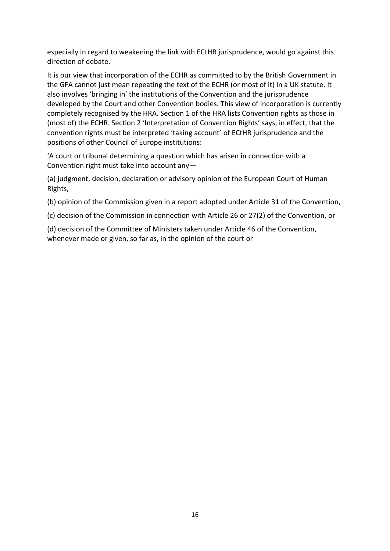especially in regard to weakening the link with ECtHR jurisprudence, would go against this direction of debate.

It is our view that incorporation of the ECHR as committed to by the British Government in the GFA cannot just mean repeating the text of the ECHR (or most of it) in a UK statute. It also involves 'bringing in' the institutions of the Convention and the jurisprudence developed by the Court and other Convention bodies. This view of incorporation is currently completely recognised by the HRA. Section 1 of the HRA lists Convention rights as those in (most of) the ECHR. Section 2 'Interpretation of Convention Rights' says, in effect, that the convention rights must be interpreted 'taking account' of ECtHR jurisprudence and the positions of other Council of Europe institutions:

'A court or tribunal determining a question which has arisen in connection with a Convention right must take into account any—

(a) judgment, decision, declaration or advisory opinion of the European Court of Human Rights,

(b) opinion of the Commission given in a report adopted under Article 31 of the Convention,

(c) decision of the Commission in connection with Article 26 or 27(2) of the Convention, or

(d) decision of the Committee of Ministers taken under Article 46 of the Convention, whenever made or given, so far as, in the opinion of the court or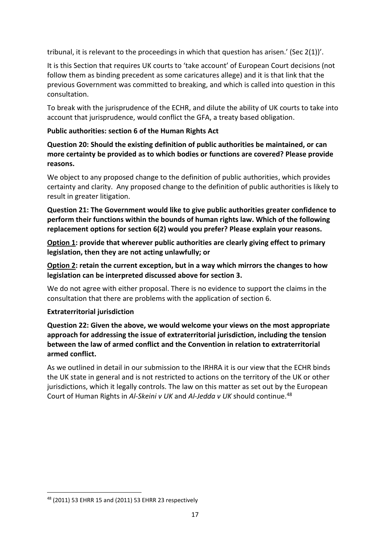tribunal, it is relevant to the proceedings in which that question has arisen.' (Sec  $2(1)$ )'.

It is this Section that requires UK courts to 'take account' of European Court decisions (not follow them as binding precedent as some caricatures allege) and it is that link that the previous Government was committed to breaking, and which is called into question in this consultation.

To break with the jurisprudence of the ECHR, and dilute the ability of UK courts to take into account that jurisprudence, would conflict the GFA, a treaty based obligation.

## **Public authorities: section 6 of the Human Rights Act**

**Question 20: Should the existing definition of public authorities be maintained, or can more certainty be provided as to which bodies or functions are covered? Please provide reasons.**

We object to any proposed change to the definition of public authorities, which provides certainty and clarity. Any proposed change to the definition of public authorities is likely to result in greater litigation.

**Question 21: The Government would like to give public authorities greater confidence to perform their functions within the bounds of human rights law. Which of the following replacement options for section 6(2) would you prefer? Please explain your reasons.**

**Option 1: provide that wherever public authorities are clearly giving effect to primary legislation, then they are not acting unlawfully; or**

**Option 2: retain the current exception, but in a way which mirrors the changes to how legislation can be interpreted discussed above for section 3.**

We do not agree with either proposal. There is no evidence to support the claims in the consultation that there are problems with the application of section 6.

## **Extraterritorial jurisdiction**

**Question 22: Given the above, we would welcome your views on the most appropriate approach for addressing the issue of extraterritorial jurisdiction, including the tension between the law of armed conflict and the Convention in relation to extraterritorial armed conflict.** 

As we outlined in detail in our submission to the IRHRA it is our view that the ECHR binds the UK state in general and is not restricted to actions on the territory of the UK or other jurisdictions, which it legally controls. The law on this matter as set out by the European Court of Human Rights in *Al-Skeini v UK* and *Al-Jedda v UK* should continue.<sup>48</sup>

<sup>48</sup> (2011) 53 EHRR 15 and (2011) 53 EHRR 23 respectively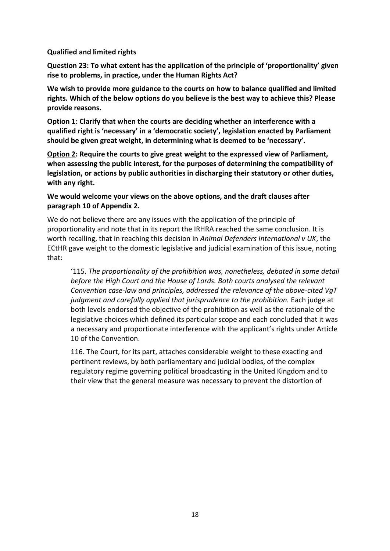#### **Qualified and limited rights**

**Question 23: To what extent has the application of the principle of 'proportionality' given rise to problems, in practice, under the Human Rights Act?**

**We wish to provide more guidance to the courts on how to balance qualified and limited rights. Which of the below options do you believe is the best way to achieve this? Please provide reasons.**

**Option 1: Clarify that when the courts are deciding whether an interference with a qualified right is 'necessary' in a 'democratic society', legislation enacted by Parliament should be given great weight, in determining what is deemed to be 'necessary'.**

**Option 2: Require the courts to give great weight to the expressed view of Parliament, when assessing the public interest, for the purposes of determining the compatibility of legislation, or actions by public authorities in discharging their statutory or other duties, with any right.**

## **We would welcome your views on the above options, and the draft clauses after paragraph 10 of Appendix 2.**

We do not believe there are any issues with the application of the principle of proportionality and note that in its report the IRHRA reached the same conclusion. It is worth recalling, that in reaching this decision in *Animal Defenders International v UK*, the ECtHR gave weight to the domestic legislative and judicial examination of this issue, noting that:

'115. *The proportionality of the prohibition was, nonetheless, debated in some detail before the High Court and the House of Lords. Both courts analysed the relevant Convention case-law and principles, addressed the relevance of the above-cited VgT judgment and carefully applied that jurisprudence to the prohibition.* Each judge at both levels endorsed the objective of the prohibition as well as the rationale of the legislative choices which defined its particular scope and each concluded that it was a necessary and proportionate interference with the applicant's rights under Article 10 of the Convention.

116. The Court, for its part, attaches considerable weight to these exacting and pertinent reviews, by both parliamentary and judicial bodies, of the complex regulatory regime governing political broadcasting in the United Kingdom and to their view that the general measure was necessary to prevent the distortion of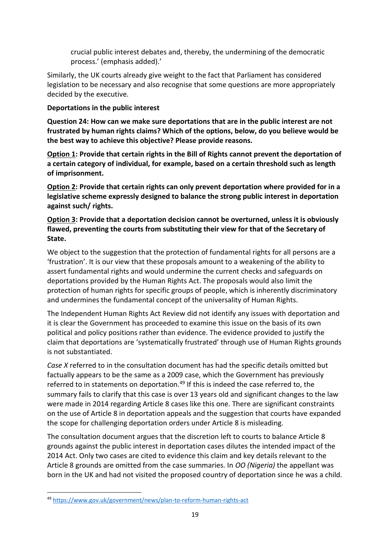crucial public interest debates and, thereby, the undermining of the democratic process.' (emphasis added).'

Similarly, the UK courts already give weight to the fact that Parliament has considered legislation to be necessary and also recognise that some questions are more appropriately decided by the executive.

# **Deportations in the public interest**

**Question 24: How can we make sure deportations that are in the public interest are not frustrated by human rights claims? Which of the options, below, do you believe would be the best way to achieve this objective? Please provide reasons.**

**Option 1: Provide that certain rights in the Bill of Rights cannot prevent the deportation of a certain category of individual, for example, based on a certain threshold such as length of imprisonment.**

**Option 2: Provide that certain rights can only prevent deportation where provided for in a legislative scheme expressly designed to balance the strong public interest in deportation against such/ rights.**

## **Option 3: Provide that a deportation decision cannot be overturned, unless it is obviously flawed, preventing the courts from substituting their view for that of the Secretary of State.**

We object to the suggestion that the protection of fundamental rights for all persons are a 'frustration'. It is our view that these proposals amount to a weakening of the ability to assert fundamental rights and would undermine the current checks and safeguards on deportations provided by the Human Rights Act. The proposals would also limit the protection of human rights for specific groups of people, which is inherently discriminatory and undermines the fundamental concept of the universality of Human Rights.

The Independent Human Rights Act Review did not identify any issues with deportation and it is clear the Government has proceeded to examine this issue on the basis of its own political and policy positions rather than evidence. The evidence provided to justify the claim that deportations are 'systematically frustrated' through use of Human Rights grounds is not substantiated.

*Case X* referred to in the consultation document has had the specific details omitted but factually appears to be the same as a 2009 case, which the Government has previously referred to in statements on deportation.<sup>49</sup> If this is indeed the case referred to, the summary fails to clarify that this case is over 13 years old and significant changes to the law were made in 2014 regarding Article 8 cases like this one. There are significant constraints on the use of Article 8 in deportation appeals and the suggestion that courts have expanded the scope for challenging deportation orders under Article 8 is misleading.

The consultation document argues that the discretion left to courts to balance Article 8 grounds against the public interest in deportation cases dilutes the intended impact of the 2014 Act. Only two cases are cited to evidence this claim and key details relevant to the Article 8 grounds are omitted from the case summaries. In *OO (Nigeria)* the appellant was born in the UK and had not visited the proposed country of deportation since he was a child.

<sup>49</sup> <https://www.gov.uk/government/news/plan-to-reform-human-rights-act>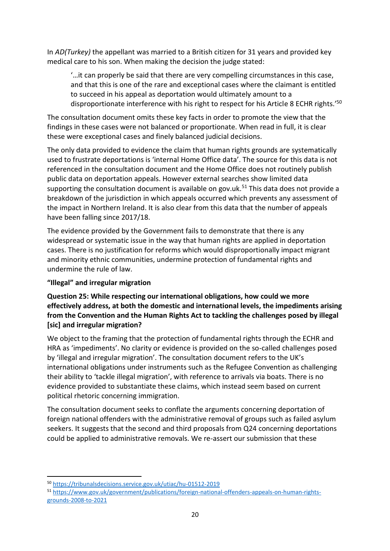In *AD(Turkey)* the appellant was married to a British citizen for 31 years and provided key medical care to his son. When making the decision the judge stated:

'…it can properly be said that there are very compelling circumstances in this case, and that this is one of the rare and exceptional cases where the claimant is entitled to succeed in his appeal as deportation would ultimately amount to a disproportionate interference with his right to respect for his Article 8 ECHR rights.<sup>'50</sup>

The consultation document omits these key facts in order to promote the view that the findings in these cases were not balanced or proportionate. When read in full, it is clear these were exceptional cases and finely balanced judicial decisions.

The only data provided to evidence the claim that human rights grounds are systematically used to frustrate deportations is 'internal Home Office data'. The source for this data is not referenced in the consultation document and the Home Office does not routinely publish public data on deportation appeals. However external searches show limited data supporting the consultation document is available on gov.uk.<sup>51</sup> This data does not provide a breakdown of the jurisdiction in which appeals occurred which prevents any assessment of the impact in Northern Ireland. It is also clear from this data that the number of appeals have been falling since 2017/18.

The evidence provided by the Government fails to demonstrate that there is any widespread or systematic issue in the way that human rights are applied in deportation cases. There is no justification for reforms which would disproportionally impact migrant and minority ethnic communities, undermine protection of fundamental rights and undermine the rule of law.

## **"Illegal" and irregular migration**

## **Question 25: While respecting our international obligations, how could we more effectively address, at both the domestic and international levels, the impediments arising from the Convention and the Human Rights Act to tackling the challenges posed by illegal [sic] and irregular migration?**

We object to the framing that the protection of fundamental rights through the ECHR and HRA as 'impediments'. No clarity or evidence is provided on the so-called challenges posed by 'illegal and irregular migration'. The consultation document refers to the UK's international obligations under instruments such as the Refugee Convention as challenging their ability to 'tackle illegal migration', with reference to arrivals via boats. There is no evidence provided to substantiate these claims, which instead seem based on current political rhetoric concerning immigration.

The consultation document seeks to conflate the arguments concerning deportation of foreign national offenders with the administrative removal of groups such as failed asylum seekers. It suggests that the second and third proposals from Q24 concerning deportations could be applied to administrative removals. We re-assert our submission that these

<sup>50</sup> <https://tribunalsdecisions.service.gov.uk/utiac/hu-01512-2019>

<sup>51</sup> [https://www.gov.uk/government/publications/foreign-national-offenders-appeals-on-human-rights](https://www.gov.uk/government/publications/foreign-national-offenders-appeals-on-human-rights-grounds-2008-to-2021)[grounds-2008-to-2021](https://www.gov.uk/government/publications/foreign-national-offenders-appeals-on-human-rights-grounds-2008-to-2021)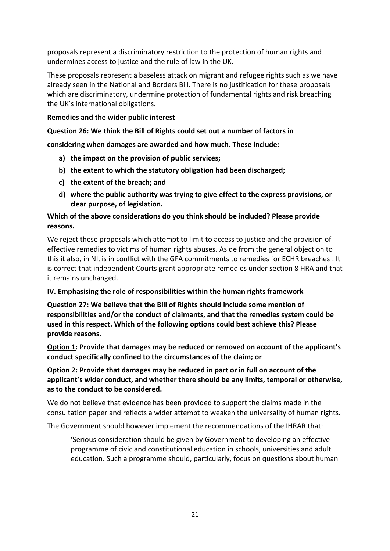proposals represent a discriminatory restriction to the protection of human rights and undermines access to justice and the rule of law in the UK.

These proposals represent a baseless attack on migrant and refugee rights such as we have already seen in the National and Borders Bill. There is no justification for these proposals which are discriminatory, undermine protection of fundamental rights and risk breaching the UK's international obligations.

#### **Remedies and the wider public interest**

#### **Question 26: We think the Bill of Rights could set out a number of factors in**

**considering when damages are awarded and how much. These include:**

- **a) the impact on the provision of public services;**
- **b) the extent to which the statutory obligation had been discharged;**
- **c) the extent of the breach; and**
- **d) where the public authority was trying to give effect to the express provisions, or clear purpose, of legislation.**

## **Which of the above considerations do you think should be included? Please provide reasons.**

We reject these proposals which attempt to limit to access to justice and the provision of effective remedies to victims of human rights abuses. Aside from the general objection to this it also, in NI, is in conflict with the GFA commitments to remedies for ECHR breaches . It is correct that independent Courts grant appropriate remedies under section 8 HRA and that it remains unchanged.

#### **IV. Emphasising the role of responsibilities within the human rights framework**

**Question 27: We believe that the Bill of Rights should include some mention of responsibilities and/or the conduct of claimants, and that the remedies system could be used in this respect. Which of the following options could best achieve this? Please provide reasons.**

**Option 1: Provide that damages may be reduced or removed on account of the applicant's conduct specifically confined to the circumstances of the claim; or**

## **Option 2: Provide that damages may be reduced in part or in full on account of the applicant's wider conduct, and whether there should be any limits, temporal or otherwise, as to the conduct to be considered.**

We do not believe that evidence has been provided to support the claims made in the consultation paper and reflects a wider attempt to weaken the universality of human rights.

The Government should however implement the recommendations of the IHRAR that:

'Serious consideration should be given by Government to developing an effective programme of civic and constitutional education in schools, universities and adult education. Such a programme should, particularly, focus on questions about human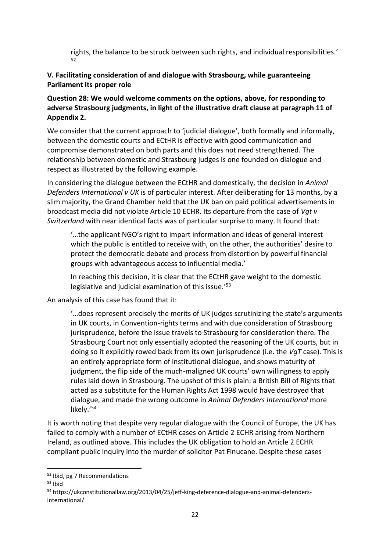rights, the balance to be struck between such rights, and individual responsibilities.' 52

## **V. Facilitating consideration of and dialogue with Strasbourg, while guaranteeing Parliament its proper role**

## **Question 28: We would welcome comments on the options, above, for responding to adverse Strasbourg judgments, in light of the illustrative draft clause at paragraph 11 of Appendix 2.**

We consider that the current approach to 'judicial dialogue', both formally and informally, between the domestic courts and ECtHR is effective with good communication and compromise demonstrated on both parts and this does not need strengthened. The relationship between domestic and Strasbourg judges is one founded on dialogue and respect as illustrated by the following example.

In considering the dialogue between the ECtHR and domestically, the decision in *Animal Defenders International v UK* is of particular interest. After deliberating for 13 months, by a slim majority, the Grand Chamber held that the UK ban on paid political advertisements in broadcast media did not violate Article 10 ECHR. Its departure from the case of *Vgt v Switzerland* with near identical facts was of particular surprise to many. It found that:

'…the applicant NGO's right to impart information and ideas of general interest which the public is entitled to receive with, on the other, the authorities' desire to protect the democratic debate and process from distortion by powerful financial groups with advantageous access to influential media.'

In reaching this decision, it is clear that the ECtHR gave weight to the domestic legislative and judicial examination of this issue.'<sup>53</sup>

An analysis of this case has found that it:

'…does represent precisely the merits of UK judges scrutinizing the state's arguments in UK courts, in Convention-rights terms and with due consideration of Strasbourg jurisprudence, before the issue travels to Strasbourg for consideration there. The Strasbourg Court not only essentially adopted the reasoning of the UK courts, but in doing so it explicitly rowed back from its own jurisprudence (i.e. the *VgT* case). This is an entirely appropriate form of institutional dialogue, and shows maturity of judgment, the flip side of the much-maligned UK courts' own willingness to apply rules laid down in Strasbourg. The upshot of this is plain: a British Bill of Rights that acted as a substitute for the Human Rights Act 1998 would have destroyed that dialogue, and made the wrong outcome in *Animal Defenders International* more likely.'<sup>54</sup>

It is worth noting that despite very regular dialogue with the Council of Europe, the UK has failed to comply with a number of ECtHR cases on Article 2 ECHR arising from Northern Ireland, as outlined above. This includes the UK obligation to hold an Article 2 ECHR compliant public inquiry into the murder of solicitor Pat Finucane. Despite these cases

<sup>52</sup> Ibid, pg 7 Recommendations

<sup>53</sup> Ibid

<sup>54</sup> https://ukconstitutionallaw.org/2013/04/25/jeff-king-deference-dialogue-and-animal-defendersinternational/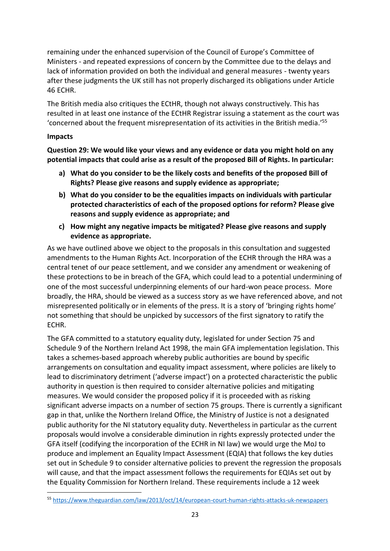remaining under the enhanced supervision of the Council of Europe's Committee of Ministers - and repeated expressions of concern by the Committee due to the delays and lack of information provided on both the individual and general measures - twenty years after these judgments the UK still has not properly discharged its obligations under Article 46 ECHR.

The British media also critiques the ECtHR, though not always constructively. This has resulted in at least one instance of the ECtHR Registrar issuing a statement as the court was 'concerned about the frequent misrepresentation of its activities in the British media.' 55

#### **Impacts**

**Question 29: We would like your views and any evidence or data you might hold on any potential impacts that could arise as a result of the proposed Bill of Rights. In particular:**

- **a) What do you consider to be the likely costs and benefits of the proposed Bill of Rights? Please give reasons and supply evidence as appropriate;**
- **b) What do you consider to be the equalities impacts on individuals with particular protected characteristics of each of the proposed options for reform? Please give reasons and supply evidence as appropriate; and**
- **c) How might any negative impacts be mitigated? Please give reasons and supply evidence as appropriate.**

As we have outlined above we object to the proposals in this consultation and suggested amendments to the Human Rights Act. Incorporation of the ECHR through the HRA was a central tenet of our peace settlement, and we consider any amendment or weakening of these protections to be in breach of the GFA, which could lead to a potential undermining of one of the most successful underpinning elements of our hard-won peace process. More broadly, the HRA, should be viewed as a success story as we have referenced above, and not misrepresented politically or in elements of the press. It is a story of 'bringing rights home' not something that should be unpicked by successors of the first signatory to ratify the ECHR.

The GFA committed to a statutory equality duty, legislated for under Section 75 and Schedule 9 of the Northern Ireland Act 1998, the main GFA implementation legislation. This takes a schemes-based approach whereby public authorities are bound by specific arrangements on consultation and equality impact assessment, where policies are likely to lead to discriminatory detriment ('adverse impact') on a protected characteristic the public authority in question is then required to consider alternative policies and mitigating measures. We would consider the proposed policy if it is proceeded with as risking significant adverse impacts on a number of section 75 groups. There is currently a significant gap in that, unlike the Northern Ireland Office, the Ministry of Justice is not a designated public authority for the NI statutory equality duty. Nevertheless in particular as the current proposals would involve a considerable diminution in rights expressly protected under the GFA itself (codifying the incorporation of the ECHR in NI law) we would urge the MoJ to produce and implement an Equality Impact Assessment (EQIA) that follows the key duties set out in Schedule 9 to consider alternative policies to prevent the regression the proposals will cause, and that the impact assessment follows the requirements for EQIAs set out by the Equality Commission for Northern Ireland. These requirements include a 12 week

<sup>55</sup> <https://www.theguardian.com/law/2013/oct/14/european-court-human-rights-attacks-uk-newspapers>